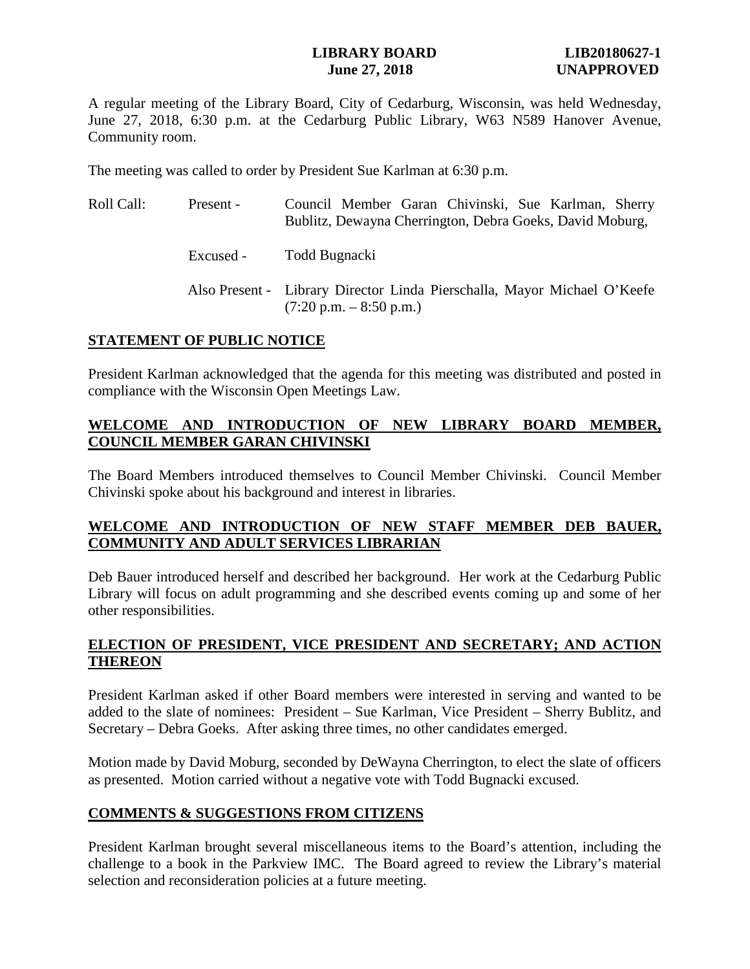## **LIBRARY BOARD LIB20180627-1 Iune 27, 2018** UNAPPROVED

A regular meeting of the Library Board, City of Cedarburg, Wisconsin, was held Wednesday, June 27, 2018, 6:30 p.m. at the Cedarburg Public Library, W63 N589 Hanover Avenue, Community room.

The meeting was called to order by President Sue Karlman at 6:30 p.m.

| Roll Call: | Present - | Council Member Garan Chivinski, Sue Karlman, Sherry<br>Bublitz, Dewayna Cherrington, Debra Goeks, David Moburg,       |
|------------|-----------|-----------------------------------------------------------------------------------------------------------------------|
|            | Excused - | Todd Bugnacki                                                                                                         |
|            |           | Also Present - Library Director Linda Pierschalla, Mayor Michael O'Keefe<br>$(7:20 \text{ p.m.} - 8:50 \text{ p.m.})$ |

## **STATEMENT OF PUBLIC NOTICE**

President Karlman acknowledged that the agenda for this meeting was distributed and posted in compliance with the Wisconsin Open Meetings Law.

# **WELCOME AND INTRODUCTION OF NEW LIBRARY BOARD MEMBER, COUNCIL MEMBER GARAN CHIVINSKI**

The Board Members introduced themselves to Council Member Chivinski. Council Member Chivinski spoke about his background and interest in libraries.

## **WELCOME AND INTRODUCTION OF NEW STAFF MEMBER DEB BAUER, COMMUNITY AND ADULT SERVICES LIBRARIAN**

Deb Bauer introduced herself and described her background. Her work at the Cedarburg Public Library will focus on adult programming and she described events coming up and some of her other responsibilities.

## **ELECTION OF PRESIDENT, VICE PRESIDENT AND SECRETARY; AND ACTION THEREON**

President Karlman asked if other Board members were interested in serving and wanted to be added to the slate of nominees: President – Sue Karlman, Vice President – Sherry Bublitz, and Secretary – Debra Goeks. After asking three times, no other candidates emerged.

Motion made by David Moburg, seconded by DeWayna Cherrington, to elect the slate of officers as presented. Motion carried without a negative vote with Todd Bugnacki excused.

## **COMMENTS & SUGGESTIONS FROM CITIZENS**

President Karlman brought several miscellaneous items to the Board's attention, including the challenge to a book in the Parkview IMC. The Board agreed to review the Library's material selection and reconsideration policies at a future meeting.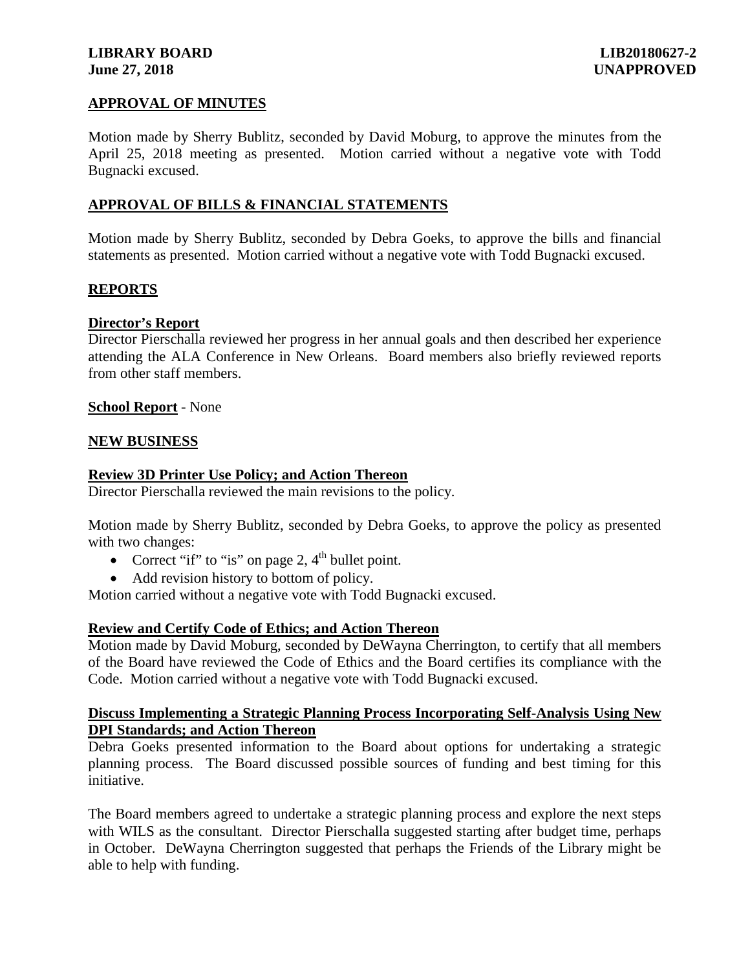## **LIBRARY BOARD LIB20180627-2 June 27, 2018 UNAPPROVED**

## **APPROVAL OF MINUTES**

Motion made by Sherry Bublitz, seconded by David Moburg, to approve the minutes from the April 25, 2018 meeting as presented. Motion carried without a negative vote with Todd Bugnacki excused.

## **APPROVAL OF BILLS & FINANCIAL STATEMENTS**

Motion made by Sherry Bublitz, seconded by Debra Goeks, to approve the bills and financial statements as presented. Motion carried without a negative vote with Todd Bugnacki excused.

### **REPORTS**

#### **Director's Report**

Director Pierschalla reviewed her progress in her annual goals and then described her experience attending the ALA Conference in New Orleans. Board members also briefly reviewed reports from other staff members.

#### **School Report** - None

#### **NEW BUSINESS**

#### **Review 3D Printer Use Policy; and Action Thereon**

Director Pierschalla reviewed the main revisions to the policy.

Motion made by Sherry Bublitz, seconded by Debra Goeks, to approve the policy as presented with two changes:

- Correct "if" to "is" on page 2,  $4<sup>th</sup>$  bullet point.
- Add revision history to bottom of policy.

Motion carried without a negative vote with Todd Bugnacki excused.

### **Review and Certify Code of Ethics; and Action Thereon**

Motion made by David Moburg, seconded by DeWayna Cherrington, to certify that all members of the Board have reviewed the Code of Ethics and the Board certifies its compliance with the Code. Motion carried without a negative vote with Todd Bugnacki excused.

#### **Discuss Implementing a Strategic Planning Process Incorporating Self-Analysis Using New DPI Standards; and Action Thereon**

Debra Goeks presented information to the Board about options for undertaking a strategic planning process. The Board discussed possible sources of funding and best timing for this initiative.

The Board members agreed to undertake a strategic planning process and explore the next steps with WILS as the consultant. Director Pierschalla suggested starting after budget time, perhaps in October. DeWayna Cherrington suggested that perhaps the Friends of the Library might be able to help with funding.